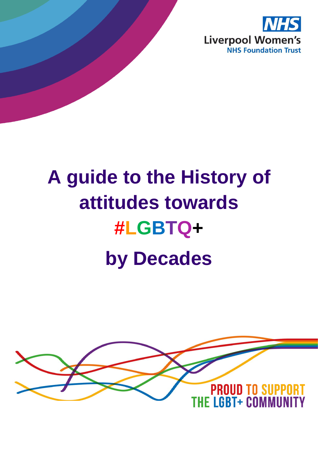

# **A guide to the History of attitudes towards #LGBTQ+ by Decades**

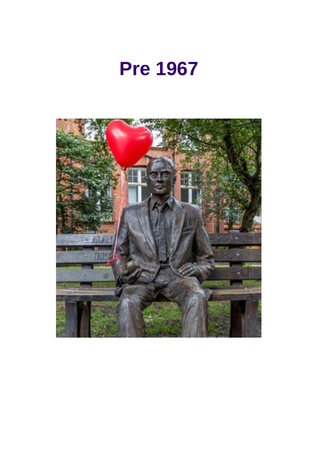

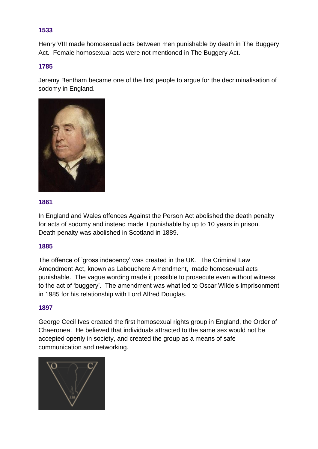Henry VIII made homosexual acts between men punishable by death in The Buggery Act. Female homosexual acts were not mentioned in The Buggery Act.

# **1785**

Jeremy Bentham became one of the first people to argue for the decriminalisation of sodomy in England.



#### **1861**

In England and Wales offences Against the Person Act abolished the death penalty for acts of sodomy and instead made it punishable by up to 10 years in prison. Death penalty was abolished in Scotland in 1889.

#### **1885**

The offence of 'gross indecency' was created in the UK. The Criminal Law Amendment Act, known as Labouchere Amendment, made homosexual acts punishable. The vague wording made it possible to prosecute even without witness to the act of 'buggery'. The amendment was what led to Oscar Wilde's imprisonment in 1985 for his relationship with Lord Alfred Douglas.

#### **1897**

George Cecil Ives created the first homosexual rights group in England, the Order of Chaeronea. He believed that individuals attracted to the same sex would not be accepted openly in society, and created the group as a means of safe communication and networking.

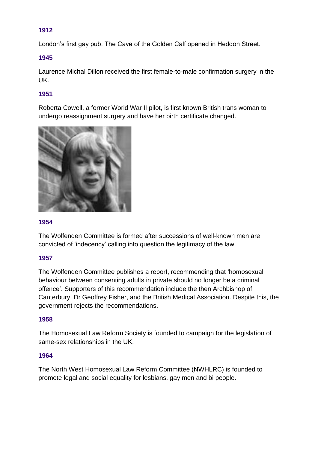London's first gay pub, The Cave of the Golden Calf opened in Heddon Street.

# **1945**

Laurence Michal Dillon received the first female-to-male confirmation surgery in the UK.

# **1951**

Roberta Cowell, a former World War II pilot, is first known British trans woman to undergo reassignment surgery and have her birth certificate changed.



# **1954**

The Wolfenden Committee is formed after successions of well-known men are convicted of 'indecency' calling into question the legitimacy of the law.

# **1957**

The Wolfenden Committee publishes a report, recommending that 'homosexual behaviour between consenting adults in private should no longer be a criminal offence'. Supporters of this recommendation include the then Archbishop of Canterbury, Dr Geoffrey Fisher, and the British Medical Association. Despite this, the government rejects the recommendations.

# **1958**

The Homosexual Law Reform Society is founded to campaign for the legislation of same-sex relationships in the UK.

#### **1964**

The North West Homosexual Law Reform Committee (NWHLRC) is founded to promote legal and social equality for lesbians, gay men and bi people.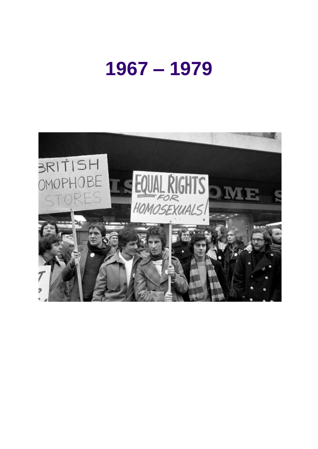# **– 1979**

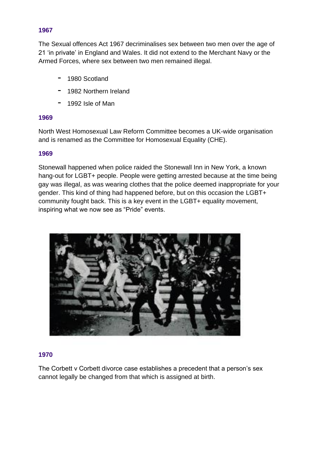The Sexual offences Act 1967 decriminalises sex between two men over the age of 21 'in private' in England and Wales. It did not extend to the Merchant Navy or the Armed Forces, where sex between two men remained illegal.

- 1980 Scotland
- 1982 Northern Ireland
- 1992 Isle of Man

# **1969**

North West Homosexual Law Reform Committee becomes a UK-wide organisation and is renamed as the Committee for Homosexual Equality (CHE).

#### **1969**

Stonewall happened when police raided the Stonewall Inn in New York, a known hang-out for LGBT+ people. People were getting arrested because at the time being gay was illegal, as was wearing clothes that the police deemed inappropriate for your gender. This kind of thing had happened before, but on this occasion the LGBT+ community fought back. This is a key event in the LGBT+ equality movement, inspiring what we now see as "Pride" events.



#### **1970**

The Corbett v Corbett divorce case establishes a precedent that a person's sex cannot legally be changed from that which is assigned at birth.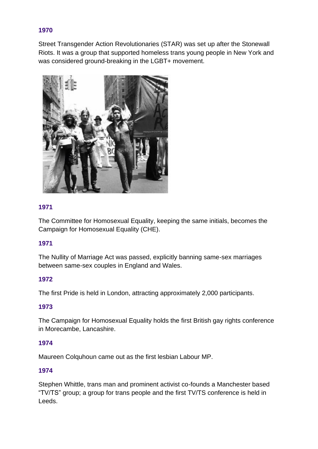Street Transgender Action Revolutionaries (STAR) was set up after the Stonewall Riots. It was a group that supported homeless trans young people in New York and was considered ground-breaking in the LGBT+ movement.



# **1971**

The Committee for Homosexual Equality, keeping the same initials, becomes the Campaign for Homosexual Equality (CHE).

# **1971**

The Nullity of Marriage Act was passed, explicitly banning same-sex marriages between same-sex couples in England and Wales.

# **1972**

The first Pride is held in London, attracting approximately 2,000 participants.

# **1973**

The Campaign for Homosexual Equality holds the first British gay rights conference in Morecambe, Lancashire.

# **1974**

Maureen Colquhoun came out as the first lesbian Labour MP.

# **1974**

Stephen Whittle, trans man and prominent activist co-founds a Manchester based "TV/TS" group; a group for trans people and the first TV/TS conference is held in Leeds.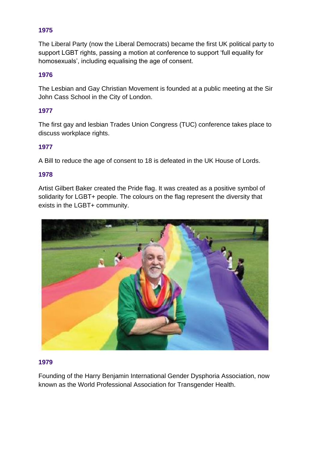The Liberal Party (now the Liberal Democrats) became the first UK political party to support LGBT rights, passing a motion at conference to support 'full equality for homosexuals', including equalising the age of consent.

# **1976**

The Lesbian and Gay Christian Movement is founded at a public meeting at the Sir John Cass School in the City of London.

# **1977**

The first gay and lesbian Trades Union Congress (TUC) conference takes place to discuss workplace rights.

# **1977**

A Bill to reduce the age of consent to 18 is defeated in the UK House of Lords.

#### **1978**

Artist Gilbert Baker created the Pride flag. It was created as a positive symbol of solidarity for LGBT+ people. The colours on the flag represent the diversity that exists in the LGBT+ community.



#### **1979**

Founding of the Harry Benjamin International Gender Dysphoria Association, now known as the World Professional Association for Transgender Health.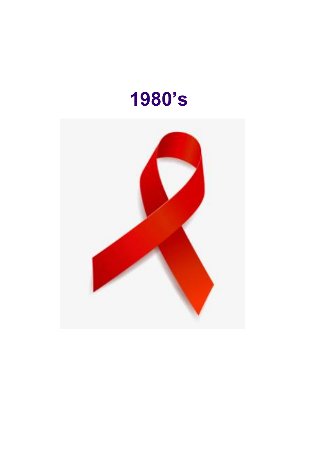

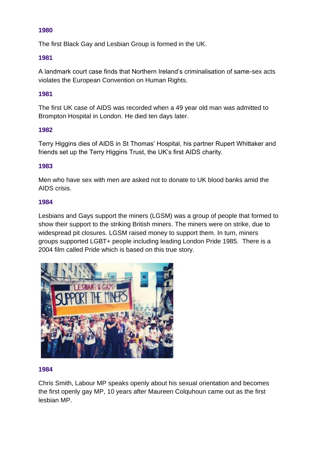The first Black Gay and Lesbian Group is formed in the UK.

# **1981**

A landmark court case finds that Northern Ireland's criminalisation of same-sex acts violates the European Convention on Human Rights.

# **1981**

The first UK case of AIDS was recorded when a 49 year old man was admitted to Brompton Hospital in London. He died ten days later.

# **1982**

Terry Higgins dies of AIDS in St Thomas' Hospital, his partner Rupert Whittaker and friends set up the Terry Higgins Trust, the UK's first AIDS charity.

# **1983**

Men who have sex with men are asked not to donate to UK blood banks amid the AIDS crisis.

# **1984**

Lesbians and Gays support the miners (LGSM) was a group of people that formed to show their support to the striking British miners. The miners were on strike, due to widespread pit closures. LGSM raised money to support them. In turn, miners groups supported LGBT+ people including leading London Pride 1985. There is a 2004 film called Pride which is based on this true story.



#### **1984**

Chris Smith, Labour MP speaks openly about his sexual orientation and becomes the first openly gay MP, 10 years after Maureen Colquhoun came out as the first lesbian MP.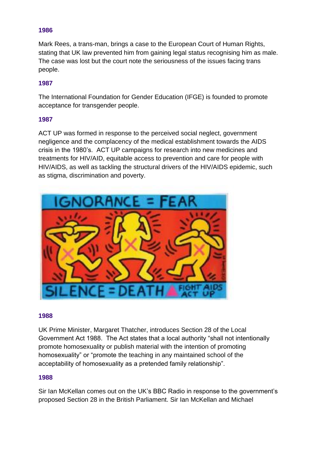Mark Rees, a trans-man, brings a case to the European Court of Human Rights, stating that UK law prevented him from gaining legal status recognising him as male. The case was lost but the court note the seriousness of the issues facing trans people.

# **1987**

The International Foundation for Gender Education (IFGE) is founded to promote acceptance for transgender people.

#### **1987**

ACT UP was formed in response to the perceived social neglect, government negligence and the complacency of the medical establishment towards the AIDS crisis in the 1980's. ACT UP campaigns for research into new medicines and treatments for HIV/AID, equitable access to prevention and care for people with HIV/AIDS, as well as tackling the structural drivers of the HIV/AIDS epidemic, such as stigma, discrimination and poverty.



#### **1988**

UK Prime Minister, Margaret Thatcher, introduces Section 28 of the Local Government Act 1988. The Act states that a local authority "shall not intentionally promote homosexuality or publish material with the intention of promoting homosexuality" or "promote the teaching in any maintained school of the acceptability of homosexuality as a pretended family relationship".

#### **1988**

Sir Ian McKellan comes out on the UK's BBC Radio in response to the government's proposed Section 28 in the British Parliament. Sir Ian McKellan and Michael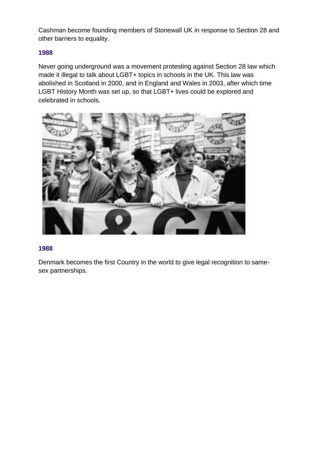Cashman become founding members of Stonewall UK in response to Section 28 and other barriers to equality.

# **1988**

Never going underground was a movement protesting against Section 28 law which made it illegal to talk about LGBT+ topics in schools in the UK. This law was abolished in Scotland in 2000, and in England and Wales in 2003, after which time LGBT History Month was set up, so that LGBT+ lives could be explored and celebrated in schools.



# **1988**

Denmark becomes the first Country in the world to give legal recognition to samesex partnerships.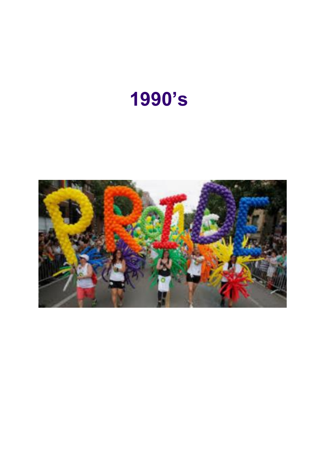# **1990's**

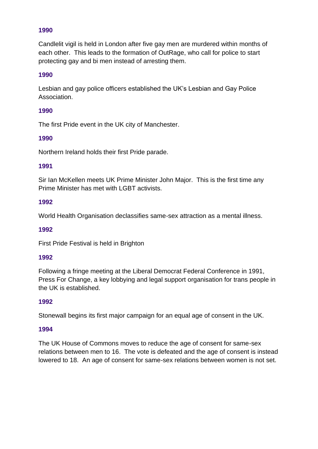Candlelit vigil is held in London after five gay men are murdered within months of each other. This leads to the formation of OutRage, who call for police to start protecting gay and bi men instead of arresting them.

# **1990**

Lesbian and gay police officers established the UK's Lesbian and Gay Police **Association** 

# **1990**

The first Pride event in the UK city of Manchester.

# **1990**

Northern Ireland holds their first Pride parade.

# **1991**

Sir Ian McKellen meets UK Prime Minister John Major. This is the first time any Prime Minister has met with LGBT activists.

# **1992**

World Health Organisation declassifies same-sex attraction as a mental illness.

#### **1992**

First Pride Festival is held in Brighton

#### **1992**

Following a fringe meeting at the Liberal Democrat Federal Conference in 1991, Press For Change, a key lobbying and legal support organisation for trans people in the UK is established.

# **1992**

Stonewall begins its first major campaign for an equal age of consent in the UK.

#### **1994**

The UK House of Commons moves to reduce the age of consent for same-sex relations between men to 16. The vote is defeated and the age of consent is instead lowered to 18. An age of consent for same-sex relations between women is not set.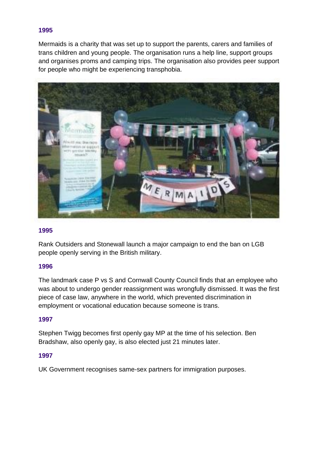Mermaids is a charity that was set up to support the parents, carers and families of trans children and young people. The organisation runs a help line, support groups and organises proms and camping trips. The organisation also provides peer support for people who might be experiencing transphobia.



#### **1995**

Rank Outsiders and Stonewall launch a major campaign to end the ban on LGB people openly serving in the British military.

#### **1996**

The landmark case P vs S and Cornwall County Council finds that an employee who was about to undergo gender reassignment was wrongfully dismissed. It was the first piece of case law, anywhere in the world, which prevented discrimination in employment or vocational education because someone is trans.

#### **1997**

Stephen Twigg becomes first openly gay MP at the time of his selection. Ben Bradshaw, also openly gay, is also elected just 21 minutes later.

#### **1997**

UK Government recognises same-sex partners for immigration purposes.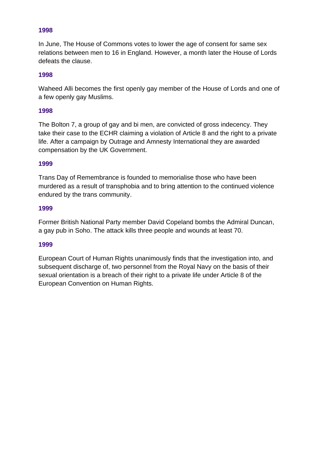In June, The House of Commons votes to lower the age of consent for same sex relations between men to 16 in England. However, a month later the House of Lords defeats the clause.

# **1998**

Waheed Alli becomes the first openly gay member of the House of Lords and one of a few openly gay Muslims.

#### **1998**

The Bolton 7, a group of gay and bi men, are convicted of gross indecency. They take their case to the ECHR claiming a violation of Article 8 and the right to a private life. After a campaign by Outrage and Amnesty International they are awarded compensation by the UK Government.

#### **1999**

Trans Day of Remembrance is founded to memorialise those who have been murdered as a result of transphobia and to bring attention to the continued violence endured by the trans community.

#### **1999**

Former British National Party member David Copeland bombs the Admiral Duncan, a gay pub in Soho. The attack kills three people and wounds at least 70.

#### **1999**

European Court of Human Rights unanimously finds that the investigation into, and subsequent discharge of, two personnel from the Royal Navy on the basis of their sexual orientation is a breach of their right to a private life under Article 8 of the European Convention on Human Rights.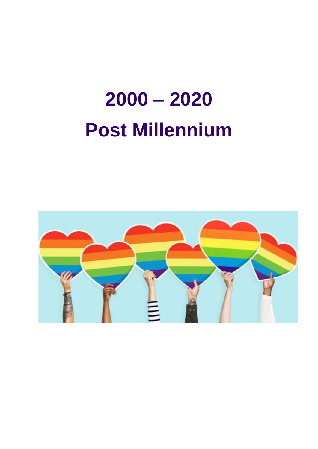# **2000 – 2020 Post Millennium**

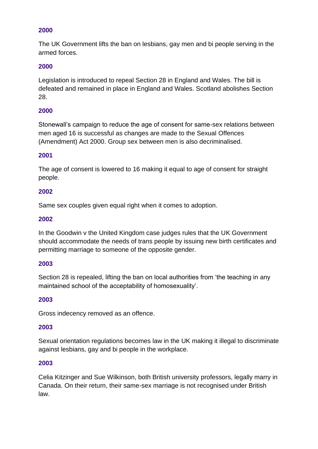The UK Government lifts the ban on lesbians, gay men and bi people serving in the armed forces.

# **2000**

Legislation is introduced to repeal Section 28 in England and Wales. The bill is defeated and remained in place in England and Wales. Scotland abolishes Section 28.

# **2000**

Stonewall's campaign to reduce the age of consent for same-sex relations between men aged 16 is successful as changes are made to the Sexual Offences (Amendment) Act 2000. Group sex between men is also decriminalised.

#### **2001**

The age of consent is lowered to 16 making it equal to age of consent for straight people.

#### **2002**

Same sex couples given equal right when it comes to adoption.

#### **2002**

In the Goodwin v the United Kingdom case judges rules that the UK Government should accommodate the needs of trans people by issuing new birth certificates and permitting marriage to someone of the opposite gender.

#### **2003**

Section 28 is repealed, lifting the ban on local authorities from 'the teaching in any maintained school of the acceptability of homosexuality'.

#### **2003**

Gross indecency removed as an offence.

#### **2003**

Sexual orientation regulations becomes law in the UK making it illegal to discriminate against lesbians, gay and bi people in the workplace.

#### **2003**

Celia Kitzinger and Sue Wilkinson, both British university professors, legally marry in Canada. On their return, their same-sex marriage is not recognised under British law.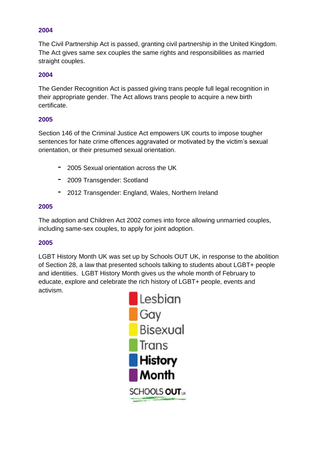The Civil Partnership Act is passed, granting civil partnership in the United Kingdom. The Act gives same sex couples the same rights and responsibilities as married straight couples.

# **2004**

The Gender Recognition Act is passed giving trans people full legal recognition in their appropriate gender. The Act allows trans people to acquire a new birth certificate.

# **2005**

Section 146 of the Criminal Justice Act empowers UK courts to impose tougher sentences for hate crime offences aggravated or motivated by the victim's sexual orientation, or their presumed sexual orientation.

- 2005 Sexual orientation across the UK
- 2009 Transgender: Scotland
- 2012 Transgender: England, Wales, Northern Ireland

# **2005**

The adoption and Children Act 2002 comes into force allowing unmarried couples, including same-sex couples, to apply for joint adoption.

# **2005**

LGBT History Month UK was set up by Schools OUT UK, in response to the abolition of Section 28, a law that presented schools talking to students about LGBT+ people and identities. LGBT History Month gives us the whole month of February to educate, explore and celebrate the rich history of LGBT+ people, events and activism.

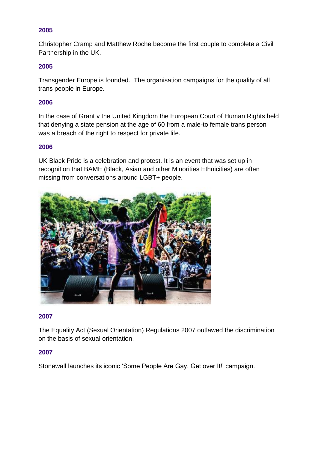Christopher Cramp and Matthew Roche become the first couple to complete a Civil Partnership in the UK.

# **2005**

Transgender Europe is founded. The organisation campaigns for the quality of all trans people in Europe.

# **2006**

In the case of Grant v the United Kingdom the European Court of Human Rights held that denying a state pension at the age of 60 from a male-to female trans person was a breach of the right to respect for private life.

#### **2006**

UK Black Pride is a celebration and protest. It is an event that was set up in recognition that BAME (Black, Asian and other Minorities Ethnicities) are often missing from conversations around LGBT+ people.



#### **2007**

The Equality Act (Sexual Orientation) Regulations 2007 outlawed the discrimination on the basis of sexual orientation.

#### **2007**

Stonewall launches its iconic 'Some People Are Gay. Get over It!' campaign.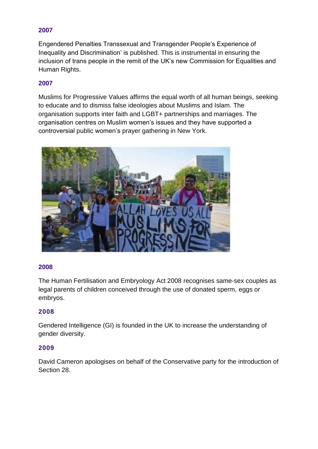Engendered Penalties Transsexual and Transgender People's Experience of Inequality and Discrimination' is [published.](http://www.pfc.org.uk/pdf/EngenderedPenalties.pdf) This is instrumental in ensuring the inclusion of trans people in the remit of the UK's new Commission for Equalities and Human Rights.

# **2007**

Muslims for Progressive Values affirms the equal worth of all human beings, seeking to educate and to dismiss false ideologies about Muslims and Islam. The organisation supports inter faith and LGBT+ partnerships and marriages. The organisation centres on Muslim women's issues and they have supported a controversial public women's prayer gathering in New York.



#### **2008**

[The Human Fertilisation and Embryology Act 2008](http://www.legislation.gov.uk/ukpga/2008/22/contents) recognises same-sex couples as legal parents of children conceived through the use of donated sperm, eggs or embryos.

# **2008**

[Gendered Intelligence](http://genderedintelligence.co.uk/) (GI) is founded in the UK to increase the understanding of gender diversity.

# **2009**

David Cameron [apologises](http://www.politics.co.uk/news/2009/07/02/cameron-s-u-turn-apology-for-section-28) on behalf of the Conservative party for the introduction of Section 28.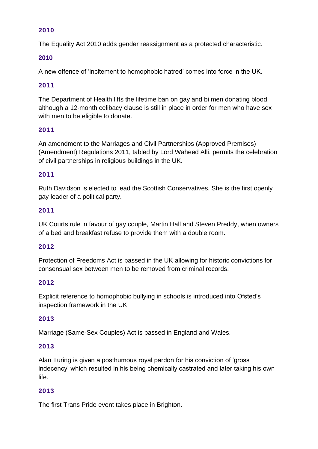The Equality Act 2010 adds gender reassignment as a protected characteristic.

# **2010**

A new [offence](https://www.cps.gov.uk/legal-guidance/sexual-orientation-cps-guidance-stirring-hatred-grounds-sexual-orientation) of 'incitement to homophobic hatred' comes into force in the UK.

# **2011**

The Department of Health lifts the lifetime ban on gay and bi men donating blood, although a [12-month celibacy](https://www.blood.co.uk/who-can-give-blood/men-who-have-sex-with-men/) clause is still in place in order for men who have sex with men to be eligible to donate.

# **2011**

An amendment to the Marriages and Civil Partnerships (Approved Premises) (Amendment) Regulations 2011, tabled by Lord Waheed Alli, permits the celebration of civil partnerships in religious buildings in the UK.

#### **2011**

[Ruth Davidson](http://www.parliament.scot/msps/currentmsps/ruth-davidson-msp.aspx) is elected to lead the Scottish Conservatives. She is the first openly gay leader of a political party.

#### **2011**

UK Courts rule in favour of gay couple, [Martin Hall and Steven Preddy,](http://www.bbc.co.uk/news/uk-england-bristol-12214368) when owners of a bed and breakfast refuse to provide them with a double room.

#### **2012**

[Protection of Freedoms Act](https://www.gov.uk/government/publications/disregarding-convictions-for-decriminalised-sexual-offences) is passed in the UK allowing for historic convictions for consensual sex between men to be removed from criminal records.

#### **2012**

Explicit reference to homophobic bullying in schools is introduced into [Ofsted's](https://www.gov.uk/government/uploads/system/uploads/attachment_data/file/413234/No_place_for_bullying.pdf) inspection framework in the UK.

#### **2013**

[Marriage \(Same-Sex Couples\) Act](http://www.legislation.gov.uk/ukpga/2013/30/contents/enacted/data.htm) is passed in England and Wales.

#### **2013**

[Alan Turing](http://www.bbc.co.uk/news/technology-25495315) is given a posthumous royal pardon for his conviction of 'gross indecency' which resulted in his being chemically castrated and later taking his own life.

#### **2013**

The first [Trans Pride](http://www.brighton-pride.org/transpride-brighton/) event takes place in Brighton.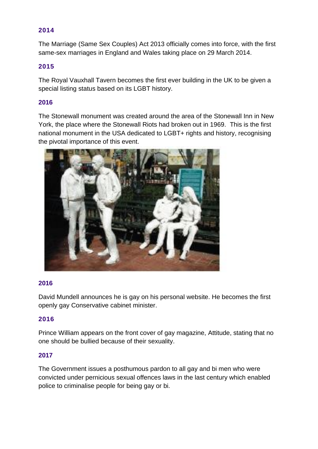The Marriage (Same [Sex Couples\) Act 2013](http://www.legislation.gov.uk/ukpga/2013/30/contents/enacted/data.htm) officially comes into force, with the first same-sex [marriages in England and Wales](http://www.bbc.co.uk/news/uk-26793127) taking place on 29 March 2014.

# **2015**

The [Royal Vauxhall Tavern](http://www.vauxhalltavern.com/) becomes the first ever building in the UK to be given a special listing status based on its LGBT history.

# **2016**

The Stonewall monument was created around the area of the Stonewall Inn in New York, the place where the Stonewall Riots had broken out in 1969. This is the first national monument in the USA dedicated to LGBT+ rights and history, recognising the pivotal importance of this event.



#### **2016**

David Mundell announces he is gay on his personal website. He becomes the first openly gay Conservative cabinet minister.

#### **2016**

Prince William appears on the front cover of gay magazine, [Attitude,](http://attitude.co.uk/making-history-prince-william-appears-on-the-cover-of-attitude/) stating that no one should be bullied because of their sexuality.

#### **2017**

The Government issues a posthumous pardon to all gay and bi men who were convicted under pernicious sexual offences laws in the last century which enabled police to criminalise people for being gay or bi.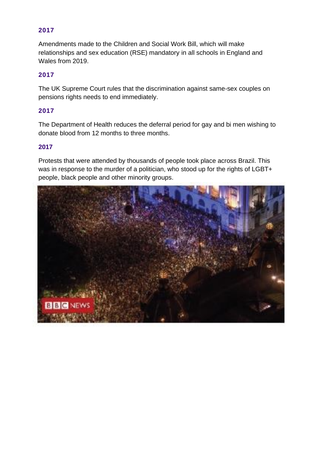Amendments made to the Children and Social Work Bill, which will make relationships and sex education (RSE) mandatory in all schools in England and Wales from 2019.

# **2017**

The UK Supreme Court rules that the discrimination against same-sex couples on pensions rights needs to end immediately.

# **2017**

The Department of Health reduces the deferral period for gay and bi men wishing to donate blood from 12 months to three months.

#### **2017**

Protests that were attended by thousands of people took place across Brazil. This was in response to the murder of a politician, who stood up for the rights of LGBT+ people, black people and other minority groups.

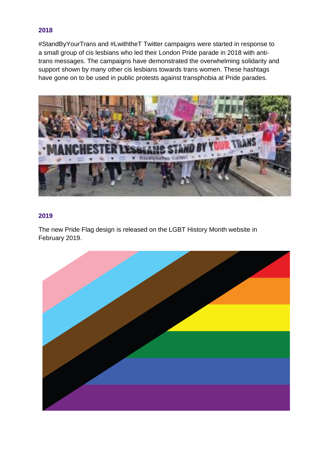#StandByYourTrans and #LwiththeT Twitter campaigns were started in response to a small group of cis lesbians who led their London Pride parade in 2018 with antitrans messages. The campaigns have demonstrated the overwhelming solidarity and support shown by many other cis lesbians towards trans women. These hashtags have gone on to be used in public protests against transphobia at Pride parades.



# **2019**

The new Pride Flag design is released on the LGBT History Month website in February 2019.